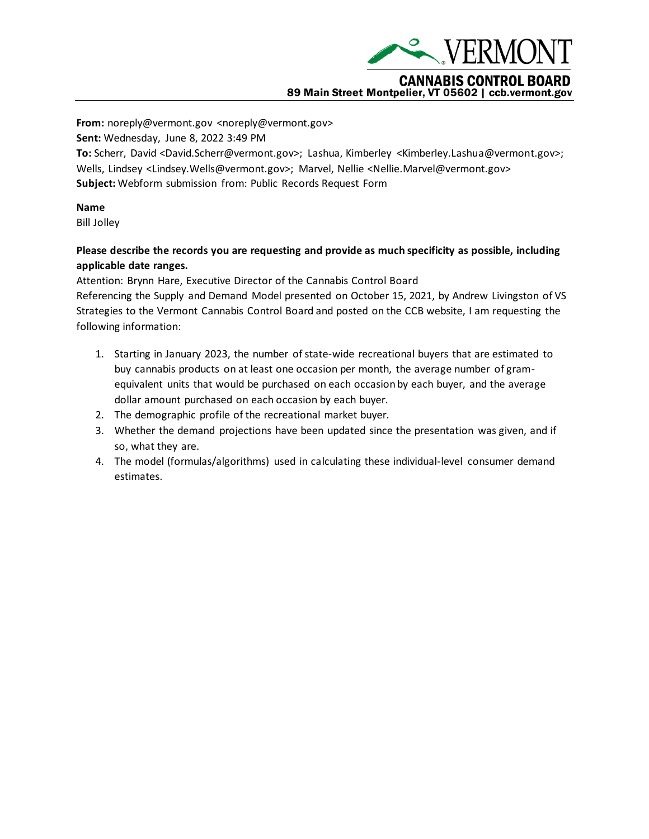

89 Main Street Montpelier, VT 05602 | ccb.vermont.gov

**From:** noreply@vermont.gov <noreply@vermont.gov>

**Sent:** Wednesday, June 8, 2022 3:49 PM

**To:** Scherr, David <David.Scherr@vermont.gov>; Lashua, Kimberley <Kimberley.Lashua@vermont.gov>; Wells, Lindsey <Lindsey.Wells@vermont.gov>; Marvel, Nellie <Nellie.Marvel@vermont.gov> **Subject:** Webform submission from: Public Records Request Form

## **Name**

Bill Jolley

## **Please describe the records you are requesting and provide as much specificity as possible, including applicable date ranges.**

Attention: Brynn Hare, Executive Director of the Cannabis Control Board

Referencing the Supply and Demand Model presented on October 15, 2021, by Andrew Livingston of VS Strategies to the Vermont Cannabis Control Board and posted on the CCB website, I am requesting the following information:

- 1. Starting in January 2023, the number of state-wide recreational buyers that are estimated to buy cannabis products on at least one occasion per month, the average number of gramequivalent units that would be purchased on each occasion by each buyer, and the average dollar amount purchased on each occasion by each buyer.
- 2. The demographic profile of the recreational market buyer.
- 3. Whether the demand projections have been updated since the presentation was given, and if so, what they are.
- 4. The model (formulas/algorithms) used in calculating these individual-level consumer demand estimates.